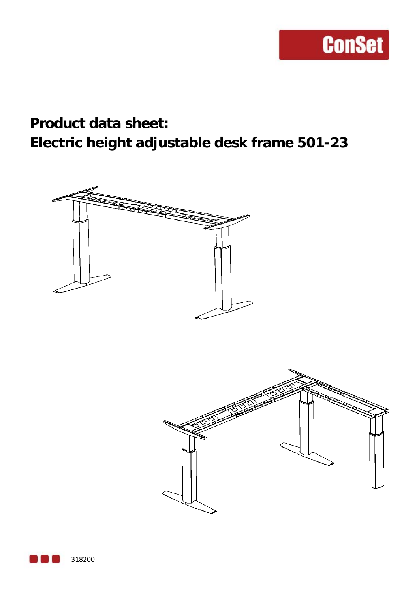### **Product data sheet: Electric height adjustable desk frame 501-23**





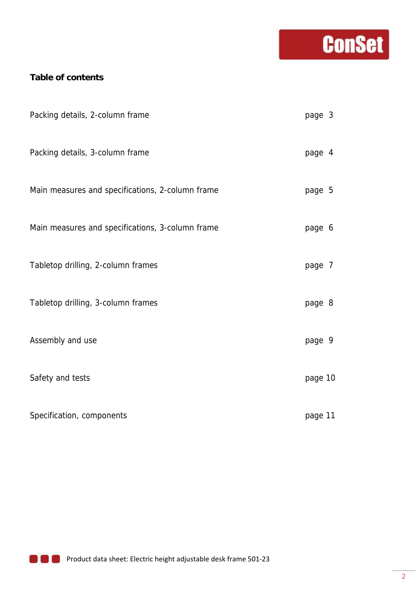# **Conset**

#### **Table of contents**

| Packing details, 2-column frame                  | page 3  |  |
|--------------------------------------------------|---------|--|
| Packing details, 3-column frame                  | page 4  |  |
| Main measures and specifications, 2-column frame | page 5  |  |
| Main measures and specifications, 3-column frame | page 6  |  |
| Tabletop drilling, 2-column frames               | page 7  |  |
| Tabletop drilling, 3-column frames               | page 8  |  |
| Assembly and use                                 | page 9  |  |
| Safety and tests                                 | page 10 |  |
| Specification, components                        | page 11 |  |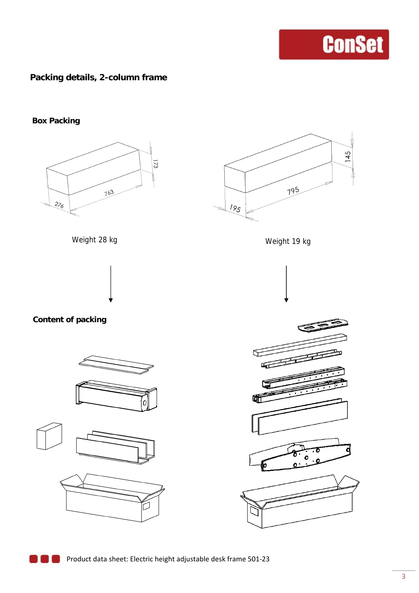#### **Packing details, 2-column frame**

**Box Packing** 





Weight 28 kg Weight 19 kg



**Content of packing** 











**Product data sheet: Electric height adjustable desk frame 501-23**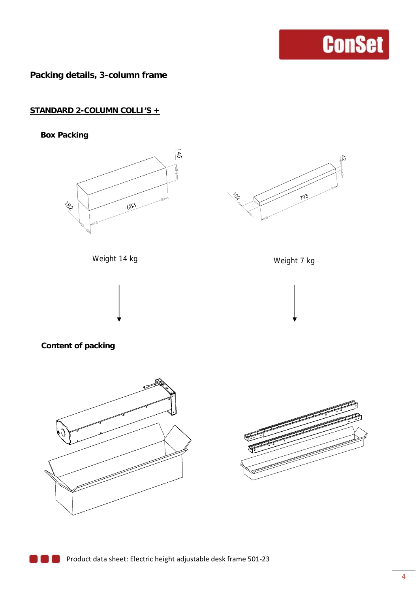**Packing details, 3-column frame**

#### **STANDARD 2-COLUMN COLLI'S +**

**Box Packing** 





Weight 14 kg Weight 7 kg







#### **Content of packing**



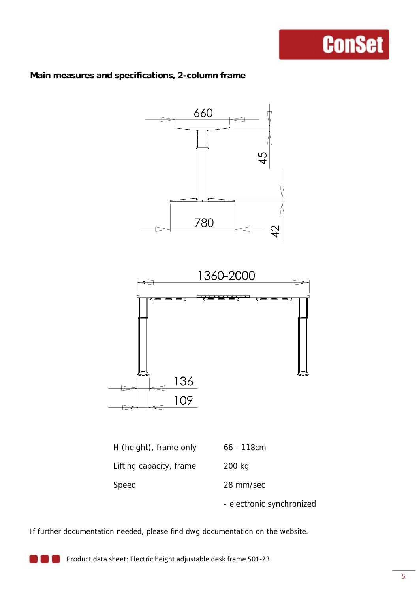#### **Main measures and specifications, 2-column frame**



Speed 28 mm/sec

- electronic synchronized

If further documentation needed, please find dwg documentation on the website.

Product data sheet: Electric height adjustable desk frame 501‐23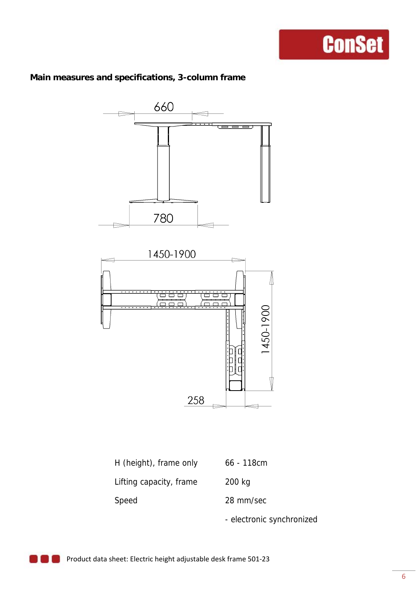#### **Main measures and specifications, 3-column frame**



| H (height), frame only  | $66 - 118$ cm |
|-------------------------|---------------|
| Lifting capacity, frame | 200 kg        |
| Speed                   | 28 mm/sec     |

- electronic synchronized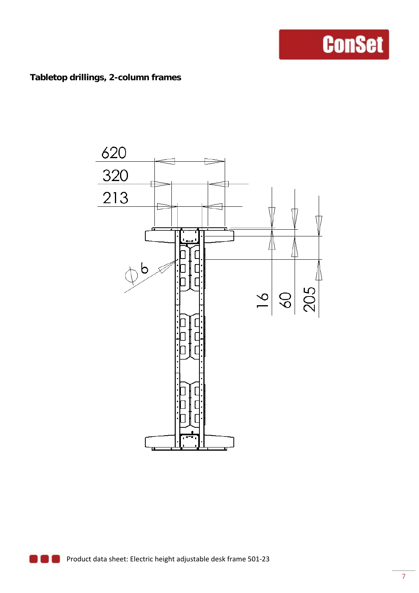#### **Tabletop drillings, 2-column frames**

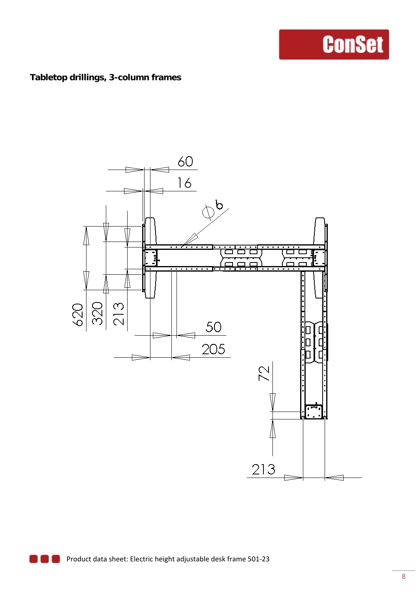#### **Tabletop drillings, 3-column frames**

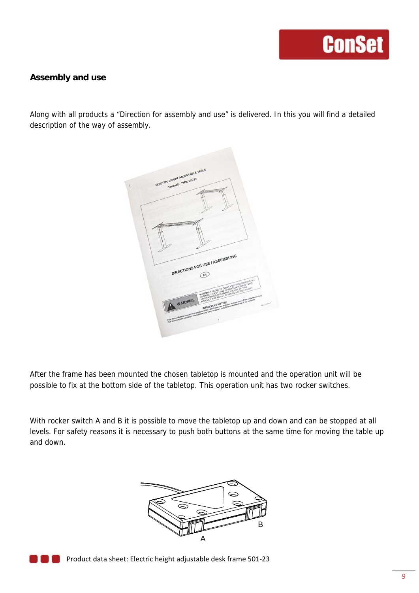#### **Assembly and use**

Along with all products a "Direction for assembly and use" is delivered. In this you will find a detailed description of the way of assembly.



After the frame has been mounted the chosen tabletop is mounted and the operation unit will be possible to fix at the bottom side of the tabletop. This operation unit has two rocker switches.

With rocker switch A and B it is possible to move the tabletop up and down and can be stopped at all levels. For safety reasons it is necessary to push both buttons at the same time for moving the table up and down.





**Product data sheet: Electric height adjustable desk frame 501-23**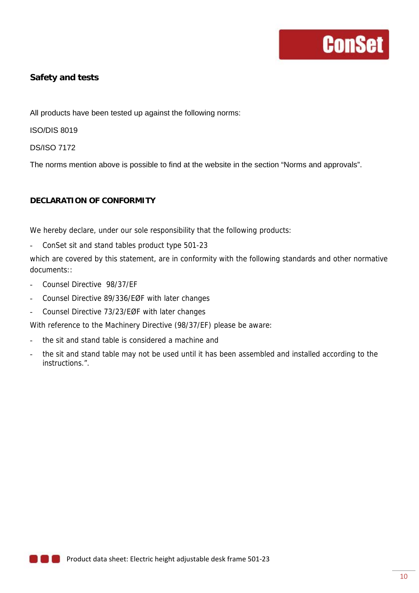#### **Safety and tests**

All products have been tested up against the following norms:

ISO/DIS 8019

DS/ISO 7172

The norms mention above is possible to find at the website in the section "Norms and approvals".

#### **DECLARATION OF CONFORMITY**

We hereby declare, under our sole responsibility that the following products:

- ConSet sit and stand tables product type 501-23

which are covered by this statement, are in conformity with the following standards and other normative documents::

- Counsel Directive 98/37/EF
- Counsel Directive 89/336/EØF with later changes
- Counsel Directive 73/23/EØF with later changes

With reference to the Machinery Directive (98/37/EF) please be aware:

- the sit and stand table is considered a machine and
- the sit and stand table may not be used until it has been assembled and installed according to the instructions.".